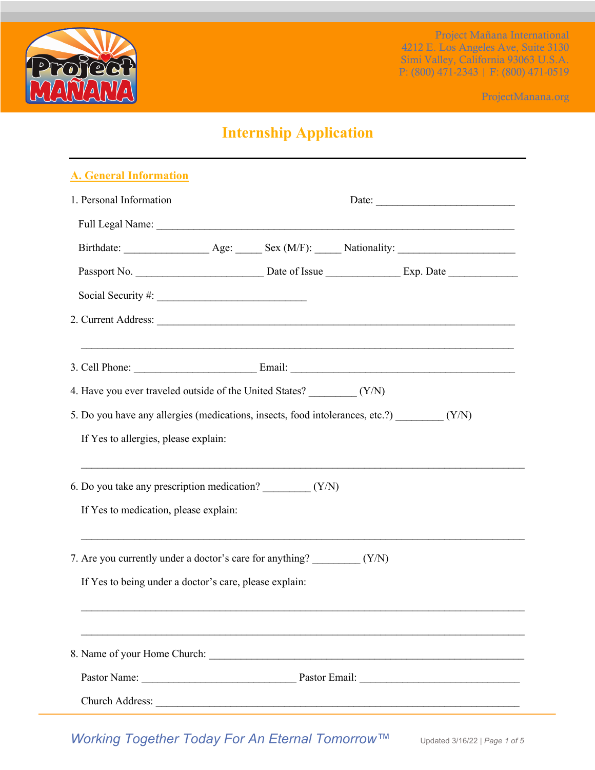

ProjectManana.org

# **Internship Application**

| A. General Information                                                                                                                                                                                                         |  |  |  |  |  |  |
|--------------------------------------------------------------------------------------------------------------------------------------------------------------------------------------------------------------------------------|--|--|--|--|--|--|
| 1. Personal Information                                                                                                                                                                                                        |  |  |  |  |  |  |
| Full Legal Name: Name and Solid Assembly and Solid Assembly and Solid Assembly and Solid Assembly and Solid Assembly and Solid Assembly and Solid Assembly and Solid Assembly and Assembly and Assembly and Assembly and Assem |  |  |  |  |  |  |
|                                                                                                                                                                                                                                |  |  |  |  |  |  |
|                                                                                                                                                                                                                                |  |  |  |  |  |  |
|                                                                                                                                                                                                                                |  |  |  |  |  |  |
|                                                                                                                                                                                                                                |  |  |  |  |  |  |
|                                                                                                                                                                                                                                |  |  |  |  |  |  |
|                                                                                                                                                                                                                                |  |  |  |  |  |  |
|                                                                                                                                                                                                                                |  |  |  |  |  |  |
| 5. Do you have any allergies (medications, insects, food intolerances, etc.?) _________ (Y/N)                                                                                                                                  |  |  |  |  |  |  |
| If Yes to allergies, please explain:                                                                                                                                                                                           |  |  |  |  |  |  |
|                                                                                                                                                                                                                                |  |  |  |  |  |  |
| 6. Do you take any prescription medication? __________ (Y/N)                                                                                                                                                                   |  |  |  |  |  |  |
| If Yes to medication, please explain:                                                                                                                                                                                          |  |  |  |  |  |  |
|                                                                                                                                                                                                                                |  |  |  |  |  |  |
|                                                                                                                                                                                                                                |  |  |  |  |  |  |
| If Yes to being under a doctor's care, please explain:                                                                                                                                                                         |  |  |  |  |  |  |
|                                                                                                                                                                                                                                |  |  |  |  |  |  |
|                                                                                                                                                                                                                                |  |  |  |  |  |  |
|                                                                                                                                                                                                                                |  |  |  |  |  |  |
|                                                                                                                                                                                                                                |  |  |  |  |  |  |
|                                                                                                                                                                                                                                |  |  |  |  |  |  |

*Working Together Today For An Eternal Tomorrow™* Updated 3/16/22 <sup>|</sup> *Page 1 of 5*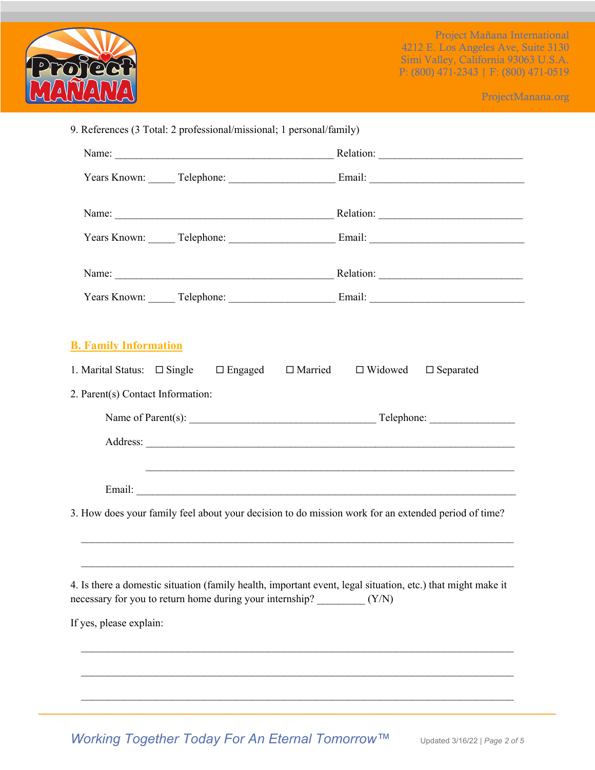

ProjectManana.org

| <b>B. Family Information</b>                                                                                                                                                                             |                                                      |
|----------------------------------------------------------------------------------------------------------------------------------------------------------------------------------------------------------|------------------------------------------------------|
| 1. Marital Status: $\Box$ Single $\Box$ Engaged                                                                                                                                                          | $\Box$ Married<br>$\Box$ Widowed<br>$\Box$ Separated |
| 2. Parent(s) Contact Information:                                                                                                                                                                        |                                                      |
|                                                                                                                                                                                                          |                                                      |
|                                                                                                                                                                                                          |                                                      |
|                                                                                                                                                                                                          |                                                      |
| 3. How does your family feel about your decision to do mission work for an extended period of time?                                                                                                      |                                                      |
| 4. Is there a domestic situation (family health, important event, legal situation, etc.) that might make it<br>necessary for you to return home during your internship? (Y/N)<br>If yes, please explain: |                                                      |
|                                                                                                                                                                                                          |                                                      |
|                                                                                                                                                                                                          |                                                      |

*Working Together Today For An Eternal Tomorrow™ Updated 3/16/22 | Page 2 of 5*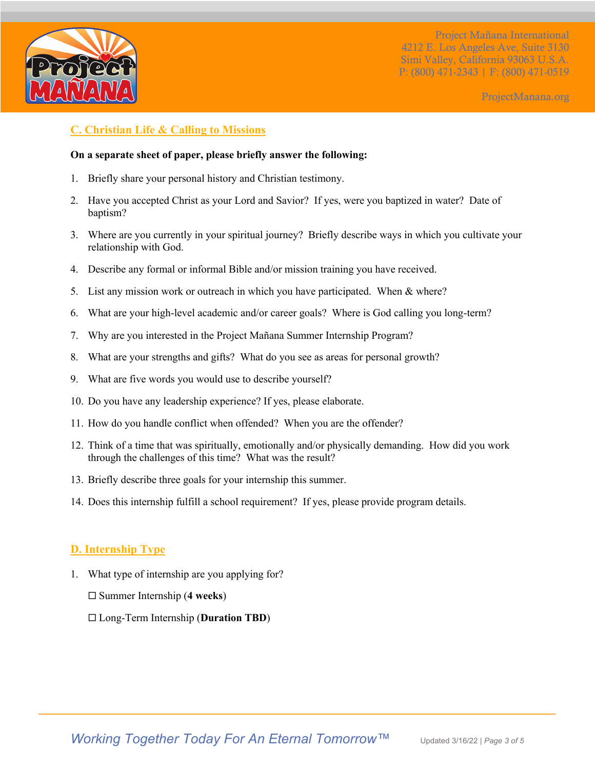

ProjectManana.org

# **C. Christian Life & Calling to Missions**

#### **On a separate sheet of paper, please briefly answer the following:**

- 1. Briefly share your personal history and Christian testimony.
- 2. Have you accepted Christ as your Lord and Savior? If yes, were you baptized in water? Date of baptism?
- 3. Where are you currently in your spiritual journey? Briefly describe ways in which you cultivate your relationship with God.
- 4. Describe any formal or informal Bible and/or mission training you have received.
- 5. List any mission work or outreach in which you have participated. When & where?
- 6. What are your high-level academic and/or career goals? Where is God calling you long-term?
- 7. Why are you interested in the Project Mañana Summer Internship Program?
- 8. What are your strengths and gifts? What do you see as areas for personal growth?
- 9. What are five words you would use to describe yourself?
- 10. Do you have any leadership experience? If yes, please elaborate.
- 11. How do you handle conflict when offended? When you are the offender?
- 12. Think of a time that was spiritually, emotionally and/or physically demanding. How did you work through the challenges of this time? What was the result?
- 13. Briefly describe three goals for your internship this summer.
- 14. Does this internship fulfill a school requirement? If yes, please provide program details.

# **D. Internship Type**

- 1. What type of internship are you applying for?
	- ¨ Summer Internship (**4 weeks**)
	- ¨ Long-Term Internship (**Duration TBD**)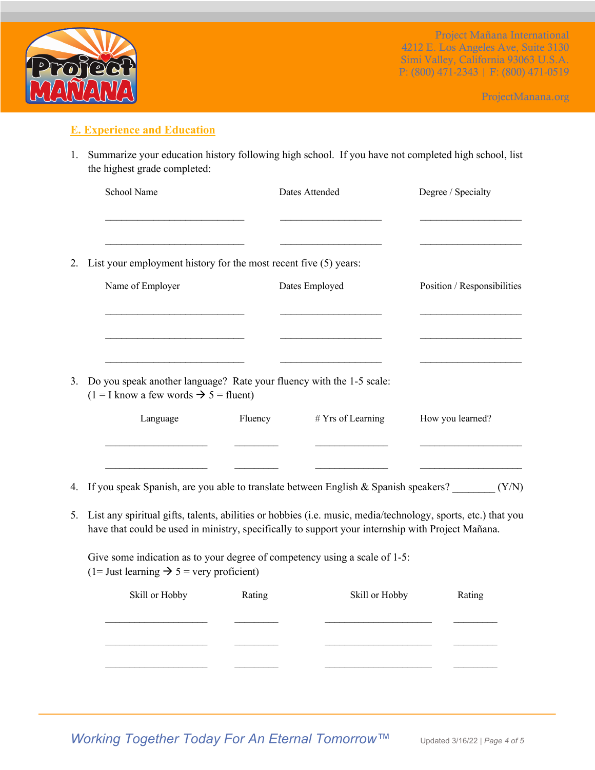

ProjectManana.org

#### **E. Experience and Education**

1. Summarize your education history following high school. If you have not completed high school, list the highest grade completed:

|    | School Name                                                                                                                 |         | Dates Attended     | Degree / Specialty          |
|----|-----------------------------------------------------------------------------------------------------------------------------|---------|--------------------|-----------------------------|
| 2. | List your employment history for the most recent five (5) years:                                                            |         |                    |                             |
|    | Name of Employer                                                                                                            |         | Dates Employed     | Position / Responsibilities |
| 3. | Do you speak another language? Rate your fluency with the 1-5 scale:<br>$(1 = I$ know a few words $\rightarrow$ 5 = fluent) |         |                    |                             |
|    | Language                                                                                                                    | Fluency | $#Yrs$ of Learning | How you learned?            |
|    | 4. If you speak Spanish, are you able to translate between English & Spanish speakers?                                      |         |                    | (Y/N)                       |

5. List any spiritual gifts, talents, abilities or hobbies (i.e. music, media/technology, sports, etc.) that you have that could be used in ministry, specifically to support your internship with Project Mañana.

Give some indication as to your degree of competency using a scale of 1-5: (1= Just learning  $\rightarrow$  5 = very proficient)

| Skill or Hobby | Rating | Skill or Hobby | Rating |
|----------------|--------|----------------|--------|
|                |        |                |        |
|                |        |                |        |
|                |        |                |        |
|                |        |                |        |

*Working Together Today For An Eternal Tomorrow™ Updated 3/16/22 | Page 4 of 5*